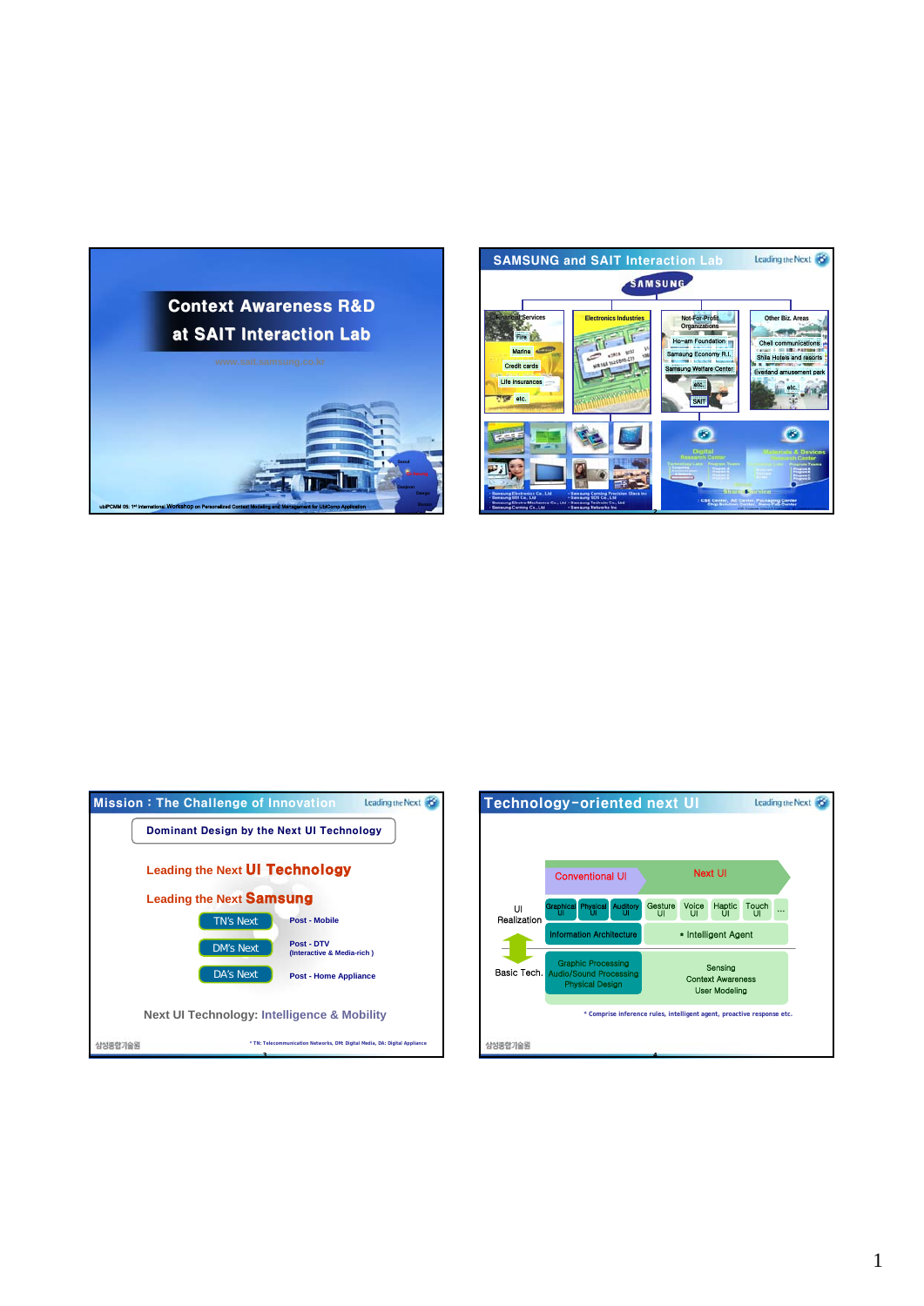





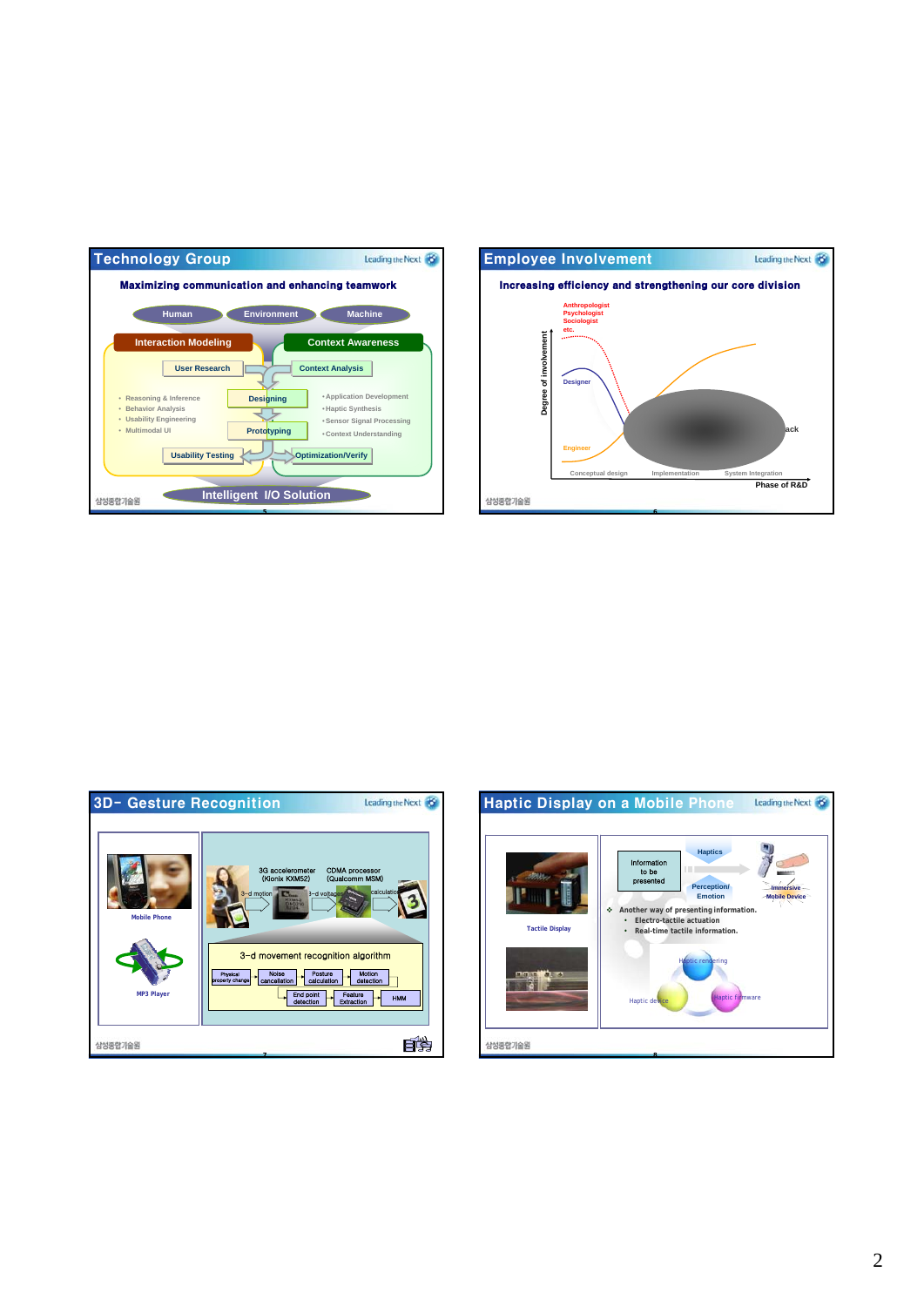





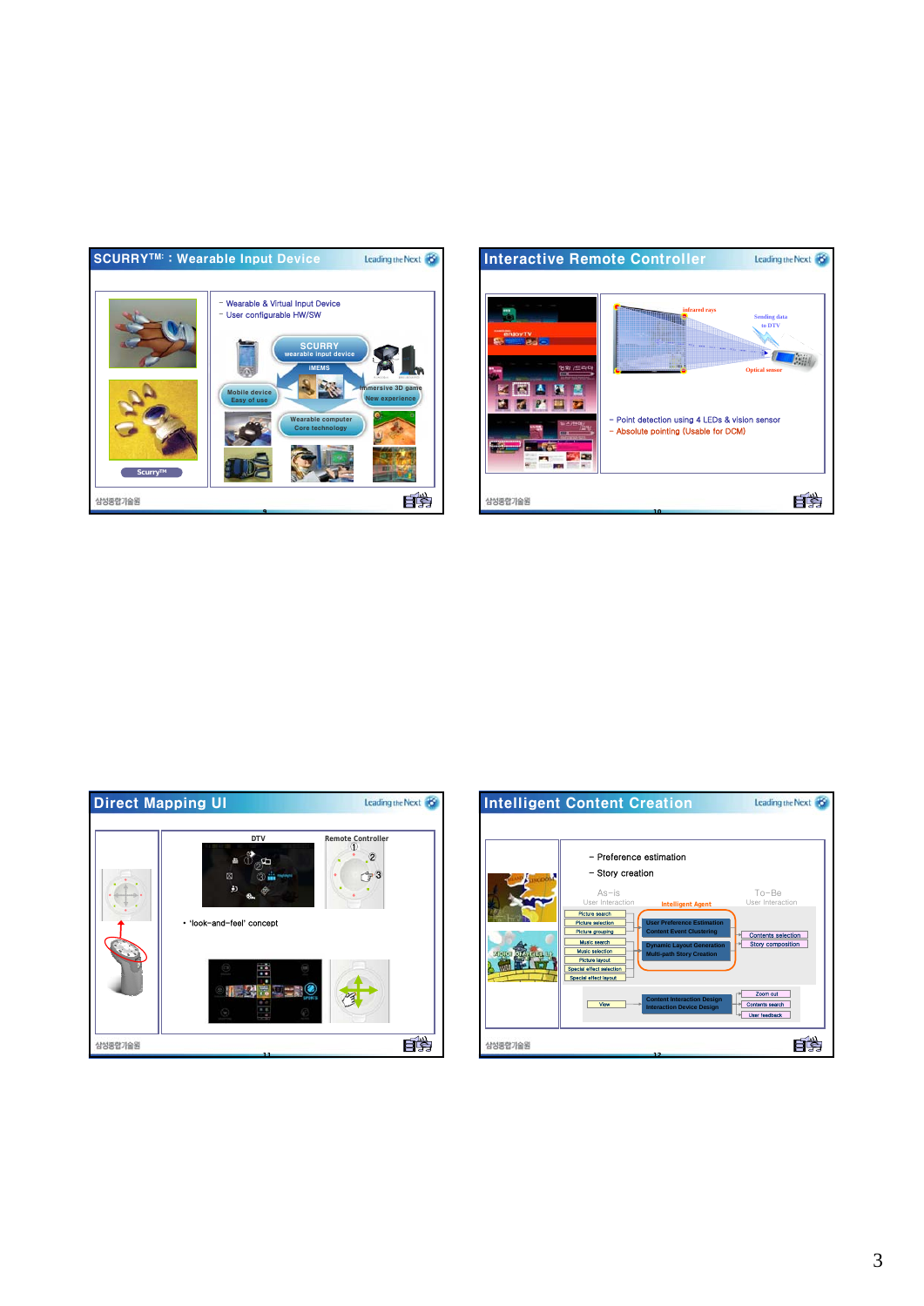





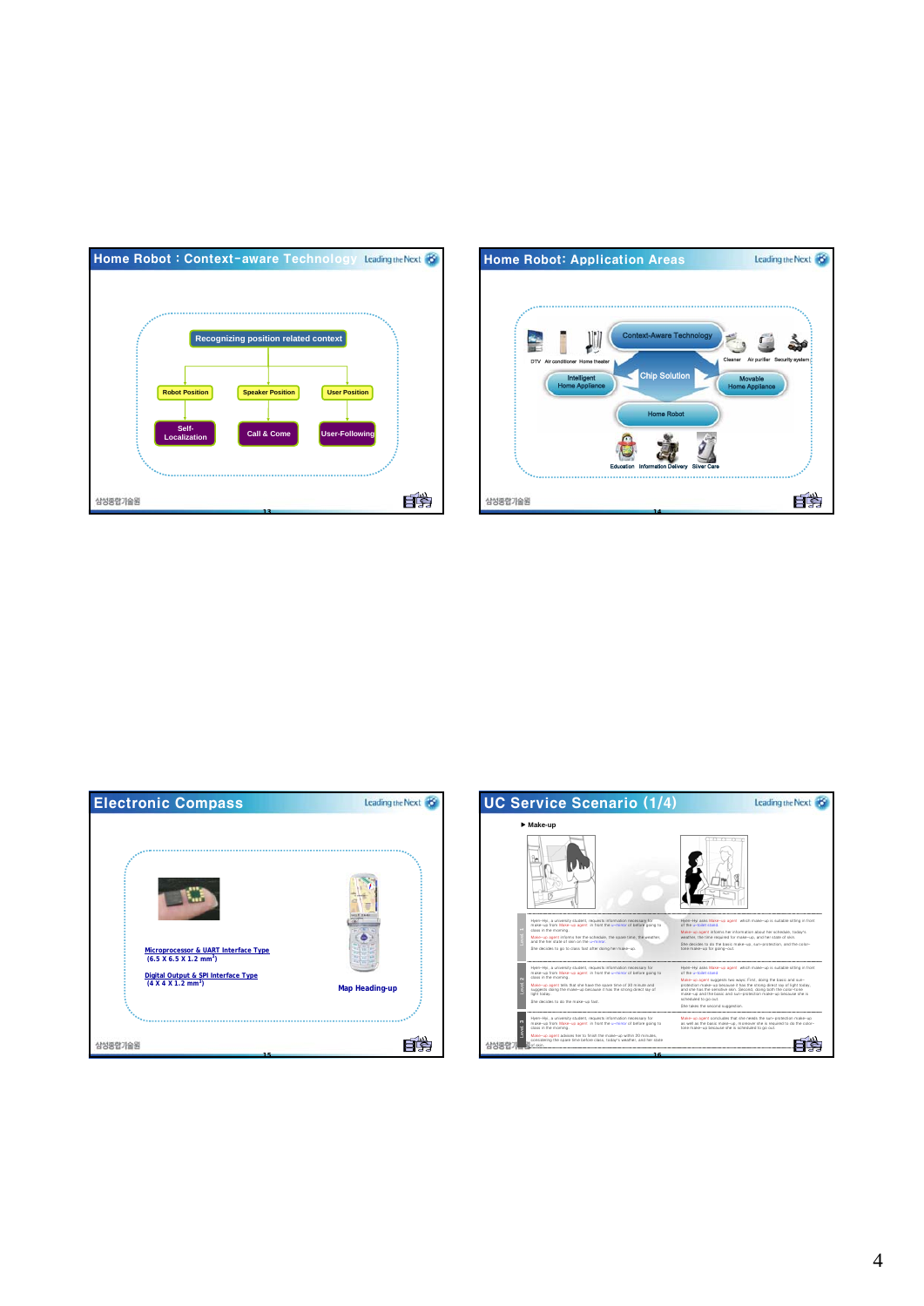